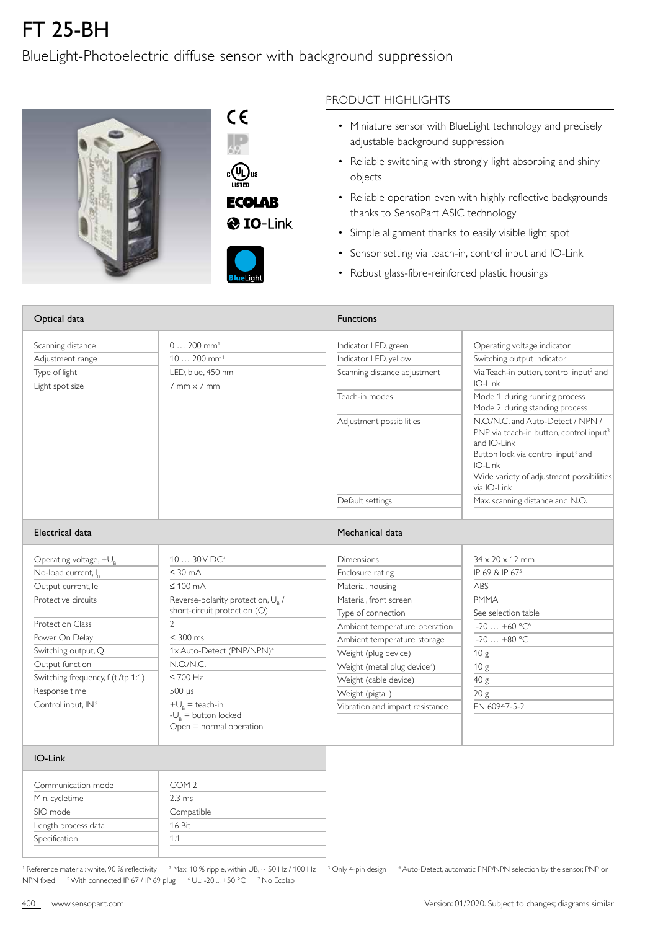## FT 25-BH

## BlueLight-Photoelectric diffuse sensor with background suppression





**& IO-Link** 



## PRODUCT HIGHLIGHTS

- Miniature sensor with BlueLight technology and precisely adjustable background suppression
- Reliable switching with strongly light absorbing and shiny objects
- Reliable operation even with highly reflective backgrounds thanks to SensoPart ASIC technology
- Simple alignment thanks to easily visible light spot
- Sensor setting via teach-in, control input and IO-Link
- Robust glass-fibre-reinforced plastic housings

| Optical data                       |                                                                               | <b>Functions</b>                         |                                                                                                                                                                                                                                 |  |
|------------------------------------|-------------------------------------------------------------------------------|------------------------------------------|---------------------------------------------------------------------------------------------------------------------------------------------------------------------------------------------------------------------------------|--|
| Scanning distance                  | $0 200$ mm <sup>1</sup>                                                       | Indicator LED, green                     | Operating voltage indicator                                                                                                                                                                                                     |  |
| Adjustment range                   | $10200$ mm <sup>1</sup>                                                       | Indicator LED, yellow                    | Switching output indicator                                                                                                                                                                                                      |  |
| Type of light<br>Light spot size   | LED. blue. 450 nm<br>$7$ mm $\times$ 7 mm                                     | Scanning distance adjustment             | Via Teach-in button, control input <sup>3</sup> and<br>IO-Link                                                                                                                                                                  |  |
|                                    |                                                                               | Teach-in modes                           | Mode 1: during running process<br>Mode 2: during standing process                                                                                                                                                               |  |
|                                    |                                                                               | Adjustment possibilities                 | N.O./N.C. and Auto-Detect / NPN /<br>PNP via teach-in button, control input <sup>3</sup><br>and IO-Link<br>Button lock via control input <sup>3</sup> and<br>IO-Link<br>Wide variety of adjustment possibilities<br>via IO-Link |  |
|                                    |                                                                               | Default settings                         | Max. scanning distance and N.O.                                                                                                                                                                                                 |  |
|                                    |                                                                               |                                          |                                                                                                                                                                                                                                 |  |
| Electrical data                    |                                                                               | Mechanical data                          |                                                                                                                                                                                                                                 |  |
| Operating voltage, +U <sub>R</sub> | $1030V$ DC <sup>2</sup>                                                       | <b>Dimensions</b>                        | $34 \times 20 \times 12$ mm                                                                                                                                                                                                     |  |
| No-load current, I <sub>0</sub>    | $\leq 30$ mA                                                                  | Enclosure rating                         | IP 69 & IP 67 <sup>5</sup>                                                                                                                                                                                                      |  |
| Output current, le                 | $\leq 100$ mA                                                                 | Material, housing                        | ABS                                                                                                                                                                                                                             |  |
| Protective circuits                | Reverse-polarity protection, U <sub>R</sub> /<br>short-circuit protection (Q) | Material, front screen                   | <b>PMMA</b>                                                                                                                                                                                                                     |  |
| <b>Protection Class</b>            | 2                                                                             | Type of connection                       | See selection table                                                                                                                                                                                                             |  |
|                                    |                                                                               | Ambient temperature: operation           | $-20+60 °C^6$                                                                                                                                                                                                                   |  |
| Power On Delay                     | $<$ 300 ms                                                                    | Ambient temperature: storage             | $-20+80$ °C                                                                                                                                                                                                                     |  |
| Switching output, Q                | 1x Auto-Detect (PNP/NPN) <sup>4</sup>                                         | Weight (plug device)                     | 10 <sub>g</sub>                                                                                                                                                                                                                 |  |
| Output function                    | N.O.N.C.                                                                      | Weight (metal plug device <sup>7</sup> ) | 10 <sub>g</sub>                                                                                                                                                                                                                 |  |
| Switching frequency, f (ti/tp 1:1) | $\leq 700$ Hz                                                                 | Weight (cable device)                    | 40 g                                                                                                                                                                                                                            |  |
| Response time                      | $500 \mu s$                                                                   | Weight (pigtail)                         | 20 g                                                                                                                                                                                                                            |  |
| Control input, IN3                 | $+U_{R}$ = teach-in<br>$-U_{R}$ = button locked<br>$Open = normal operation$  | Vibration and impact resistance          | EN 60947-5-2                                                                                                                                                                                                                    |  |
| IO-Link                            |                                                                               |                                          |                                                                                                                                                                                                                                 |  |
| Communication mode                 | COM <sub>2</sub>                                                              |                                          |                                                                                                                                                                                                                                 |  |
| Min. cycletime                     | $2.3 \text{ ms}$                                                              |                                          |                                                                                                                                                                                                                                 |  |
| SIO mode                           | Compatible                                                                    |                                          |                                                                                                                                                                                                                                 |  |
| Length process data                | 16 Bit                                                                        |                                          |                                                                                                                                                                                                                                 |  |

1 Reference material: white, 90 % reflectivity and Max. 10 % ripple, within UB, ~ 50 Hz / 100 Hz and 3 Only 4-pin design and that o-Detect, automatic PNP/NPN selection by the sensor, PNP or NPN fixed With connected IP 67 / IP 69 plug 6 UL: -20 ... +50 °C 7 No Ecolab

1.1

**Specification**